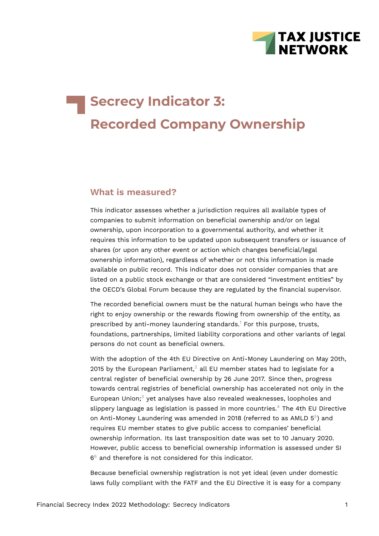

# **Secrecy Indicator 3: Recorded Company Ownership**

# **What is measured?**

This indicator assesses whether a jurisdiction requires all available types of companies to submit information on beneficial ownership and/or on legal ownership, upon incorporation to a governmental authority, and whether it requires this information to be updated upon subsequent transfers or issuance of shares (or upon any other event or action which changes beneficial/legal ownership information), regardless of whether or not this information is made available on public record. This indicator does not consider companies that are listed on a public stock exchange or that are considered "investment entities" by the OECD's Global Forum because they are regulated by the financial supervisor.

<span id="page-0-0"></span>The recorded beneficial owners must be the natural human beings who have the right to enjoy ownership or the rewards flowing from ownership of the entity, as prescribed by anti-money laundering standards.<sup>[1](#page-11-0)</sup> For this purpose, trusts, foundations, partnerships, limited liability corporations and other variants of legal persons do not count as beneficial owners.

<span id="page-0-3"></span><span id="page-0-2"></span><span id="page-0-1"></span>With the adoption of the 4th EU Directive on Anti-Money Laundering on May 20th, [2](#page-11-1)015 by the European Parliament,<sup>2</sup> all EU member states had to legislate for a central register of beneficial ownership by 26 June 2017. Since then, progress towards central registries of beneficial ownership has accelerated not only in the European Union; $3$  yet analyses have also revealed weaknesses, loopholes and slippery language as legislation is passed in more countries.<sup>[4](#page-11-3)</sup> The 4th EU Directive on Anti-Money Laundering was amended in 2018 (referred to as AMLD  $5<sup>5</sup>$  $5<sup>5</sup>$ ) and requires EU member states to give public access to companies' beneficial ownership information. Its last transposition date was set to 10 January 2020. However, public access to beneficial ownership information is assessed under SI [6](#page-11-5)<sup>6</sup> and therefore is not considered for this indicator.

<span id="page-0-5"></span><span id="page-0-4"></span>Because beneficial ownership registration is not yet ideal (even under domestic laws fully compliant with the FATF and the EU Directive it is easy for a company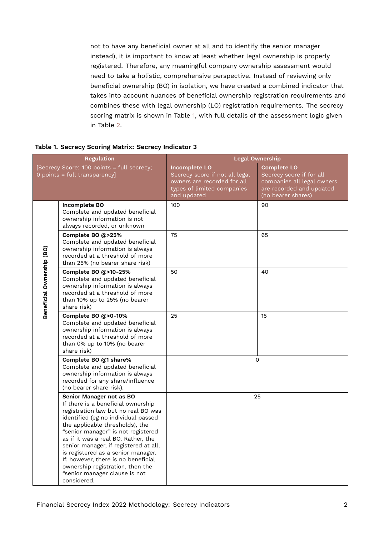not to have any beneficial owner at all and to identify the senior manager instead), it is important to know at least whether legal ownership is properly registered. Therefore, any meaningful company ownership assessment would need to take a holistic, comprehensive perspective. Instead of reviewing only beneficial ownership (BO) in isolation, we have created a combined indicator that takes into account nuances of beneficial ownership registration requirements and combines these with legal ownership (LO) registration requirements. The secrecy scoring matrix is shown in Table [1](#page-1-0), with full details of the assessment logic given in Table [2.](#page-7-0)

<span id="page-1-0"></span>

|                           | <b>Regulation</b>                                                                                                                                                                                                                                                                                                                                                                                                                                                      | <b>Legal Ownership</b>                                                                                                             |                                                                                                                                |  |  |  |  |  |
|---------------------------|------------------------------------------------------------------------------------------------------------------------------------------------------------------------------------------------------------------------------------------------------------------------------------------------------------------------------------------------------------------------------------------------------------------------------------------------------------------------|------------------------------------------------------------------------------------------------------------------------------------|--------------------------------------------------------------------------------------------------------------------------------|--|--|--|--|--|
|                           | [Secrecy Score: 100 points = full secrecy;<br>0 points = full transparency]                                                                                                                                                                                                                                                                                                                                                                                            | <b>Incomplete LO</b><br>Secrecy score if not all legal<br>owners are recorded for all<br>types of limited companies<br>and updated | <b>Complete LO</b><br>Secrecy score if for all<br>companies all legal owners<br>are recorded and updated<br>(no bearer shares) |  |  |  |  |  |
|                           | <b>Incomplete BO</b><br>Complete and updated beneficial<br>ownership information is not<br>always recorded, or unknown                                                                                                                                                                                                                                                                                                                                                 | 100                                                                                                                                | 90                                                                                                                             |  |  |  |  |  |
|                           | Complete BO @>25%<br>Complete and updated beneficial<br>ownership information is always<br>recorded at a threshold of more<br>than 25% (no bearer share risk)                                                                                                                                                                                                                                                                                                          | 75                                                                                                                                 | 65                                                                                                                             |  |  |  |  |  |
| Beneficial Ownership (BO) | Complete BO @>10-25%<br>Complete and updated beneficial<br>ownership information is always<br>recorded at a threshold of more<br>than 10% up to 25% (no bearer<br>share risk)                                                                                                                                                                                                                                                                                          | 50                                                                                                                                 | 40                                                                                                                             |  |  |  |  |  |
|                           | Complete BO @>0-10%<br>Complete and updated beneficial<br>ownership information is always<br>recorded at a threshold of more<br>than 0% up to 10% (no bearer<br>share risk)                                                                                                                                                                                                                                                                                            | 25                                                                                                                                 | 15                                                                                                                             |  |  |  |  |  |
|                           | Complete BO @1 share%<br>Complete and updated beneficial<br>ownership information is always<br>recorded for any share/influence<br>(no bearer share risk).                                                                                                                                                                                                                                                                                                             |                                                                                                                                    | $\Omega$                                                                                                                       |  |  |  |  |  |
|                           | Senior Manager not as BO<br>If there is a beneficial ownership<br>registration law but no real BO was<br>identified (eg no individual passed<br>the applicable thresholds), the<br>"senior manager" is not registered<br>as if it was a real BO. Rather, the<br>senior manager, if registered at all,<br>is registered as a senior manager.<br>If, however, there is no beneficial<br>ownership registration, then the<br>"senior manager clause is not<br>considered. |                                                                                                                                    | 25                                                                                                                             |  |  |  |  |  |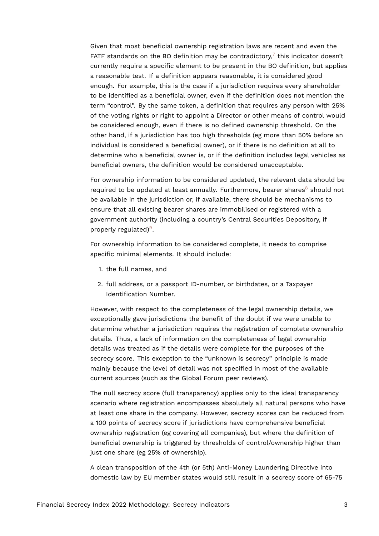<span id="page-2-0"></span>Given that most beneficial ownership registration laws are recent and even the FATF standards on the BO definition may be contradictory, $7$  this indicator doesn't currently require a specific element to be present in the BO definition, but applies a reasonable test. If a definition appears reasonable, it is considered good enough. For example, this is the case if a jurisdiction requires every shareholder to be identified as a beneficial owner, even if the definition does not mention the term "control". By the same token, a definition that requires any person with 25% of the voting rights or right to appoint a Director or other means of control would be considered enough, even if there is no defined ownership threshold. On the other hand, if a jurisdiction has too high thresholds (eg more than 50% before an individual is considered a beneficial owner), or if there is no definition at all to determine who a beneficial owner is, or if the definition includes legal vehicles as beneficial owners, the definition would be considered unacceptable.

<span id="page-2-1"></span>For ownership information to be considered updated, the relevant data should be required to be updated at least annually. Furthermore, bearer shares $8$  should not be available in the jurisdiction or, if available, there should be mechanisms to ensure that all existing bearer shares are immobilised or registered with a government authority (including a country's Central Securities Depository, if properly regulated)<sup>[9](#page-12-1)</sup>.

<span id="page-2-2"></span>For ownership information to be considered complete, it needs to comprise specific minimal elements. It should include:

- 1. the full names, and
- 2. full address, or a passport ID-number, or birthdates, or a Taxpayer Identification Number.

However, with respect to the completeness of the legal ownership details, we exceptionally gave jurisdictions the benefit of the doubt if we were unable to determine whether a jurisdiction requires the registration of complete ownership details. Thus, a lack of information on the completeness of legal ownership details was treated as if the details were complete for the purposes of the secrecy score. This exception to the "unknown is secrecy" principle is made mainly because the level of detail was not specified in most of the available current sources (such as the Global Forum peer reviews).

The null secrecy score (full transparency) applies only to the ideal transparency scenario where registration encompasses absolutely all natural persons who have at least one share in the company. However, secrecy scores can be reduced from a 100 points of secrecy score if jurisdictions have comprehensive beneficial ownership registration (eg covering all companies), but where the definition of beneficial ownership is triggered by thresholds of control/ownership higher than just one share (eg 25% of ownership).

A clean transposition of the 4th (or 5th) Anti-Money Laundering Directive into domestic law by EU member states would still result in a secrecy score of 65-75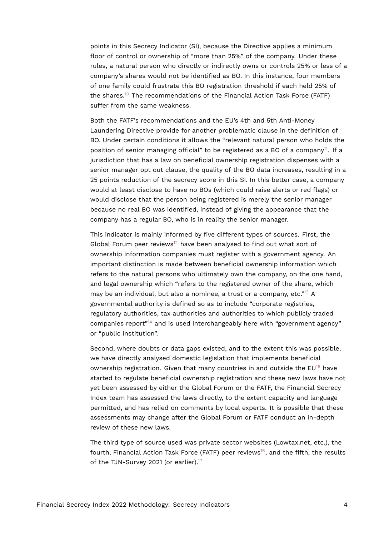points in this Secrecy Indicator (SI), because the Directive applies a minimum floor of control or ownership of "more than 25%" of the company. Under these rules, a natural person who directly or indirectly owns or controls 25% or less of a company's shares would not be identified as BO. In this instance, four members of one family could frustrate this BO registration threshold if each held 25% of the shares.<sup>[10](#page-12-2)</sup> The recommendations of the Financial Action Task Force (FATF) suffer from the same weakness.

<span id="page-3-1"></span><span id="page-3-0"></span>Both the FATF's recommendations and the EU's 4th and 5th Anti-Money Laundering Directive provide for another problematic clause in the definition of BO. Under certain conditions it allows the "relevant natural person who holds the position of senior managing official" to be registered as a BO of a company<sup>[11](#page-12-3)</sup>. If a jurisdiction that has a law on beneficial ownership registration dispenses with a senior manager opt out clause, the quality of the BO data increases, resulting in a 25 points reduction of the secrecy score in this SI. In this better case, a company would at least disclose to have no BOs (which could raise alerts or red flags) or would disclose that the person being registered is merely the senior manager because no real BO was identified, instead of giving the appearance that the company has a regular BO, who is in reality the senior manager.

<span id="page-3-2"></span>This indicator is mainly informed by five different types of sources. First, the Global Forum peer reviews<sup>[12](#page-12-4)</sup> have been analysed to find out what sort of ownership information companies must register with a government agency. An important distinction is made between beneficial ownership information which refers to the natural persons who ultimately own the company, on the one hand, and legal ownership which "refers to the registered owner of the share, which may be an individual, but also a nominee, a trust or a company, etc."<sup>[13](#page-12-5)</sup> A governmental authority is defined so as to include "corporate registries, regulatory authorities, tax authorities and authorities to which publicly traded companies report<sup>"[14](#page-12-6)</sup> and is used interchangeably here with "government agency" or "public institution".

<span id="page-3-5"></span><span id="page-3-4"></span><span id="page-3-3"></span>Second, where doubts or data gaps existed, and to the extent this was possible, we have directly analysed domestic legislation that implements beneficial ownership registration. Given that many countries in and outside the  $EU^{15}$  $EU^{15}$  $EU^{15}$  have started to regulate beneficial ownership registration and these new laws have not yet been assessed by either the Global Forum or the FATF, the Financial Secrecy Index team has assessed the laws directly, to the extent capacity and language permitted, and has relied on comments by local experts. It is possible that these assessments may change after the Global Forum or FATF conduct an in-depth review of these new laws.

<span id="page-3-7"></span><span id="page-3-6"></span>The third type of source used was private sector websites (Lowtax.net, etc.), the fourth, Financial Action Task Force (FATF) peer reviews<sup>[16](#page-12-8)</sup>, and the fifth, the results of the TJN-Survey 2021 (or earlier).<sup>[17](#page-12-9)</sup>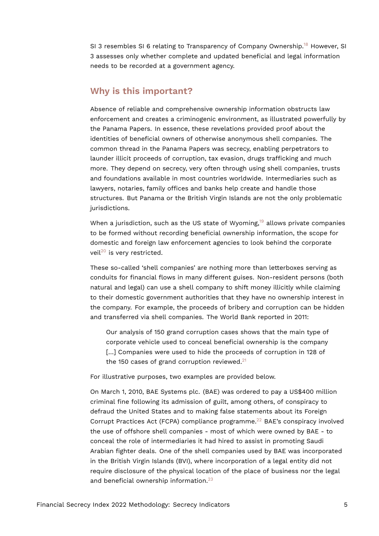<span id="page-4-0"></span>SI 3 resembles SI 6 relating to Transparency of Company Ownership.<sup>[18](#page-12-10)</sup> However, SI 3 assesses only whether complete and updated beneficial and legal information needs to be recorded at a government agency.

# **Why is this important?**

Absence of reliable and comprehensive ownership information obstructs law enforcement and creates a criminogenic environment, as illustrated powerfully by the Panama Papers. In essence, these revelations provided proof about the identities of beneficial owners of otherwise anonymous shell companies. The common thread in the Panama Papers was secrecy, enabling perpetrators to launder illicit proceeds of corruption, tax evasion, drugs trafficking and much more. They depend on secrecy, very often through using shell companies, trusts and foundations available in most countries worldwide. Intermediaries such as lawyers, notaries, family offices and banks help create and handle those structures. But Panama or the British Virgin Islands are not the only problematic jurisdictions.

<span id="page-4-1"></span>When a jurisdiction, such as the US state of Wyoming,<sup>[19](#page-12-11)</sup> allows private companies to be formed without recording beneficial ownership information, the scope for domestic and foreign law enforcement agencies to look behind the corporate veil<sup>[20](#page-13-0)</sup> is very restricted.

<span id="page-4-2"></span>These so-called 'shell companies' are nothing more than letterboxes serving as conduits for financial flows in many different guises. Non-resident persons (both natural and legal) can use a shell company to shift money illicitly while claiming to their domestic government authorities that they have no ownership interest in the company. For example, the proceeds of bribery and corruption can be hidden and transferred via shell companies. The World Bank reported in 2011:

<span id="page-4-3"></span>Our analysis of 150 grand corruption cases shows that the main type of corporate vehicle used to conceal beneficial ownership is the company [...] Companies were used to hide the proceeds of corruption in 128 of the 150 cases of grand corruption reviewed. $21$ 

For illustrative purposes, two examples are provided below.

<span id="page-4-5"></span><span id="page-4-4"></span>On March 1, 2010, BAE Systems plc. (BAE) was ordered to pay a US\$400 million criminal fine following its admission of guilt, among others, of conspiracy to defraud the United States and to making false statements about its Foreign Corrupt Practices Act (FCPA) compliance programme.<sup>[22](#page-13-2)</sup> BAE's conspiracy involved the use of offshore shell companies - most of which were owned by BAE - to conceal the role of intermediaries it had hired to assist in promoting Saudi Arabian fighter deals. One of the shell companies used by BAE was incorporated in the British Virgin Islands (BVI), where incorporation of a legal entity did not require disclosure of the physical location of the place of business nor the legal and beneficial ownership information.<sup>[23](#page-13-3)</sup>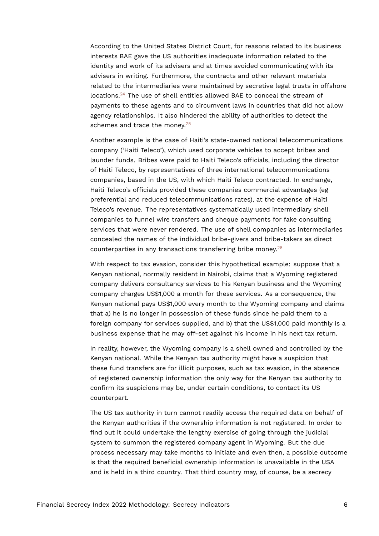According to the United States District Court, for reasons related to its business interests BAE gave the US authorities inadequate information related to the identity and work of its advisers and at times avoided communicating with its advisers in writing. Furthermore, the contracts and other relevant materials related to the intermediaries were maintained by secretive legal trusts in offshore locations.[24](#page-13-4) The use of shell entities allowed BAE to conceal the stream of payments to these agents and to circumvent laws in countries that did not allow agency relationships. It also hindered the ability of authorities to detect the schemes and trace the money. $25$ 

<span id="page-5-1"></span><span id="page-5-0"></span>Another example is the case of Haiti's state-owned national telecommunications company ('Haiti Teleco'), which used corporate vehicles to accept bribes and launder funds. Bribes were paid to Haiti Teleco's officials, including the director of Haiti Teleco, by representatives of three international telecommunications companies, based in the US, with which Haiti Teleco contracted. In exchange, Haiti Teleco's officials provided these companies commercial advantages (eg preferential and reduced telecommunications rates), at the expense of Haiti Teleco's revenue. The representatives systematically used intermediary shell companies to funnel wire transfers and cheque payments for fake consulting services that were never rendered. The use of shell companies as intermediaries concealed the names of the individual bribe-givers and bribe-takers as direct counterparties in any transactions transferring bribe money.[26](#page-13-6)

<span id="page-5-2"></span>With respect to tax evasion, consider this hypothetical example: suppose that a Kenyan national, normally resident in Nairobi, claims that a Wyoming registered company delivers consultancy services to his Kenyan business and the Wyoming company charges US\$1,000 a month for these services. As a consequence, the Kenyan national pays US\$1,000 every month to the Wyoming company and claims that a) he is no longer in possession of these funds since he paid them to a foreign company for services supplied, and b) that the US\$1,000 paid monthly is a business expense that he may off-set against his income in his next tax return.

In reality, however, the Wyoming company is a shell owned and controlled by the Kenyan national. While the Kenyan tax authority might have a suspicion that these fund transfers are for illicit purposes, such as tax evasion, in the absence of registered ownership information the only way for the Kenyan tax authority to confirm its suspicions may be, under certain conditions, to contact its US counterpart.

The US tax authority in turn cannot readily access the required data on behalf of the Kenyan authorities if the ownership information is not registered. In order to find out it could undertake the lengthy exercise of going through the judicial system to summon the registered company agent in Wyoming. But the due process necessary may take months to initiate and even then, a possible outcome is that the required beneficial ownership information is unavailable in the USA and is held in a third country. That third country may, of course, be a secrecy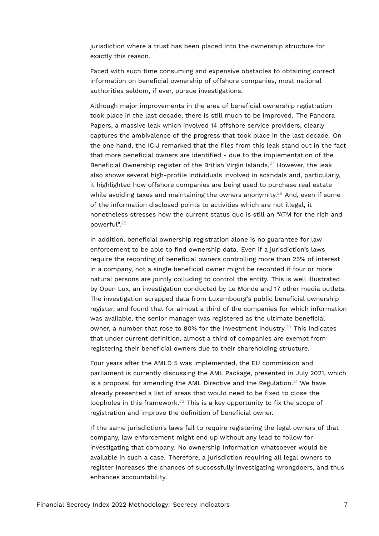jurisdiction where a trust has been placed into the ownership structure for exactly this reason.

Faced with such time consuming and expensive obstacles to obtaining correct information on beneficial ownership of offshore companies, most national authorities seldom, if ever, pursue investigations.

<span id="page-6-0"></span>Although major improvements in the area of beneficial ownership registration took place in the last decade, there is still much to be improved. The Pandora Papers, a massive leak which involved 14 offshore service providers, clearly captures the ambivalence of the progress that took place in the last decade. On the one hand, the ICIJ remarked that the files from this leak stand out in the fact that more beneficial owners are identified - due to the implementation of the Beneficial Ownership register of the British Virgin Islands.<sup>[27](#page-13-7)</sup> However, the leak also shows several high-profile individuals involved in scandals and, particularly, it highlighted how offshore companies are being used to purchase real estate while avoiding taxes and maintaining the owners anonymity.<sup>[28](#page-13-8)</sup> And, even if some of the information disclosed points to activities which are not illegal, it nonetheless stresses how the current status quo is still an "ATM for the rich and powerful".[29](#page-13-9)

<span id="page-6-2"></span><span id="page-6-1"></span>In addition, beneficial ownership registration alone is no guarantee for law enforcement to be able to find ownership data. Even if a jurisdiction's laws require the recording of beneficial owners controlling more than 25% of interest in a company, not a single beneficial owner might be recorded if four or more natural persons are jointly colluding to control the entity. This is well illustrated by Open Lux, an investigation conducted by Le Monde and 17 other media outlets. The investigation scrapped data from Luxembourg's public beneficial ownership register, and found that for almost a third of the companies for which information was available, the senior manager was registered as the ultimate beneficial owner, a number that rose to 80% for the investment industry.<sup>[30](#page-13-10)</sup> This indicates that under current definition, almost a third of companies are exempt from registering their beneficial owners due to their shareholding structure.

<span id="page-6-4"></span><span id="page-6-3"></span>Four years after the AMLD 5 was implemented, the EU commission and parliament is currently discussing the AML Package, presented in July 2021, which is a proposal for amending the AML Directive and the Regulation. $31$  We have already presented a list of areas that would need to be fixed to close the loopholes in this framework.<sup>[32](#page-13-12)</sup> This is a key opportunity to fix the scope of registration and improve the definition of beneficial owner.

<span id="page-6-5"></span>If the same jurisdiction's laws fail to require registering the legal owners of that company, law enforcement might end up without any lead to follow for investigating that company. No ownership information whatsoever would be available in such a case. Therefore, a jurisdiction requiring all legal owners to register increases the chances of successfully investigating wrongdoers, and thus enhances accountability.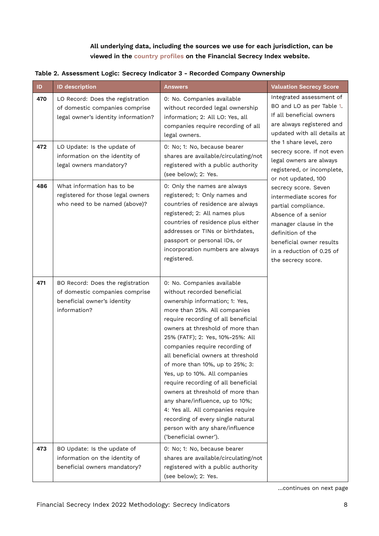### <span id="page-7-0"></span>**All underlying data, including the sources we use for each jurisdiction, can be viewed in the [country profiles](https://fsi.taxjustice.net/country-detail) on the Financial Secrecy Index website.**

| ID. | <b>ID description</b>                                                                                             | <b>Answers</b>                                                                                                                                                                                                                                                                                                                                                                                                                                                                                                                                                                                                                             | <b>Valuation Secrecy Score</b>                                                                                                                                                                                             |
|-----|-------------------------------------------------------------------------------------------------------------------|--------------------------------------------------------------------------------------------------------------------------------------------------------------------------------------------------------------------------------------------------------------------------------------------------------------------------------------------------------------------------------------------------------------------------------------------------------------------------------------------------------------------------------------------------------------------------------------------------------------------------------------------|----------------------------------------------------------------------------------------------------------------------------------------------------------------------------------------------------------------------------|
| 470 | LO Record: Does the registration<br>of domestic companies comprise<br>legal owner's identity information?         | 0: No. Companies available<br>without recorded legal ownership<br>information; 2: All LO: Yes, all<br>companies require recording of all<br>legal owners.                                                                                                                                                                                                                                                                                                                                                                                                                                                                                  | Integrated assessment of<br>BO and LO as per Table 1.<br>If all beneficial owners<br>are always registered and<br>updated with all details at                                                                              |
| 472 | LO Update: Is the update of<br>information on the identity of<br>legal owners mandatory?                          | 0: No; 1: No, because bearer<br>shares are available/circulating/not<br>registered with a public authority<br>(see below); 2: Yes.                                                                                                                                                                                                                                                                                                                                                                                                                                                                                                         | the 1 share level, zero<br>secrecy score. If not even<br>legal owners are always<br>registered, or incomplete,<br>or not updated, 100                                                                                      |
| 486 | What information has to be<br>registered for those legal owners<br>who need to be named (above)?                  | 0: Only the names are always<br>registered; 1: Only names and<br>countries of residence are always<br>registered; 2: All names plus<br>countries of residence plus either<br>addresses or TINs or birthdates,<br>passport or personal IDs, or<br>incorporation numbers are always<br>registered.                                                                                                                                                                                                                                                                                                                                           | secrecy score. Seven<br>intermediate scores for<br>partial compliance.<br>Absence of a senior<br>manager clause in the<br>definition of the<br>beneficial owner results<br>in a reduction of 0.25 of<br>the secrecy score. |
| 471 | BO Record: Does the registration<br>of domestic companies comprise<br>beneficial owner's identity<br>information? | 0: No. Companies available<br>without recorded beneficial<br>ownership information; 1: Yes,<br>more than 25%. All companies<br>require recording of all beneficial<br>owners at threshold of more than<br>25% (FATF); 2: Yes, 10%-25%: All<br>companies require recording of<br>all beneficial owners at threshold<br>of more than 10%, up to 25%; 3:<br>Yes, up to 10%. All companies<br>require recording of all beneficial<br>owners at threshold of more than<br>any share/influence, up to 10%;<br>4: Yes all. All companies require<br>recording of every single natural<br>person with any share/influence<br>('beneficial owner'). |                                                                                                                                                                                                                            |
| 473 | BO Update: Is the update of<br>information on the identity of<br>beneficial owners mandatory?                     | 0: No; 1: No, because bearer<br>shares are available/circulating/not<br>registered with a public authority<br>(see below); 2: Yes.                                                                                                                                                                                                                                                                                                                                                                                                                                                                                                         |                                                                                                                                                                                                                            |

…continues on next page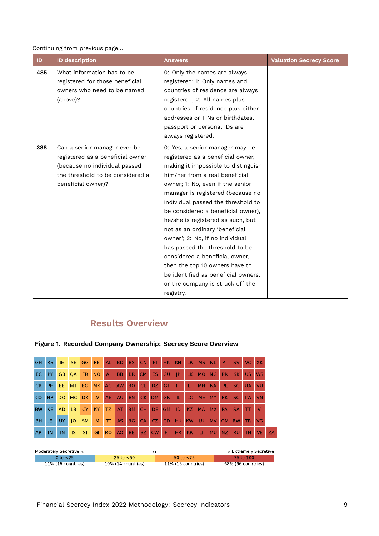Continuing from previous page…

| ID  | <b>ID description</b>                                                                                                                                       | Answers                                                                                                                                                                                                                                                                                                                                                                                                                                                                                                                                                                                                    | <b>Valuation Secrecy Score</b> |
|-----|-------------------------------------------------------------------------------------------------------------------------------------------------------------|------------------------------------------------------------------------------------------------------------------------------------------------------------------------------------------------------------------------------------------------------------------------------------------------------------------------------------------------------------------------------------------------------------------------------------------------------------------------------------------------------------------------------------------------------------------------------------------------------------|--------------------------------|
| 485 | What information has to be<br>registered for those beneficial<br>owners who need to be named<br>(above)?                                                    | 0: Only the names are always<br>registered; 1: Only names and<br>countries of residence are always<br>registered; 2: All names plus<br>countries of residence plus either<br>addresses or TINs or birthdates,<br>passport or personal IDs are<br>always registered.                                                                                                                                                                                                                                                                                                                                        |                                |
| 388 | Can a senior manager ever be<br>registered as a beneficial owner<br>(because no individual passed<br>the threshold to be considered a<br>beneficial owner)? | 0: Yes, a senior manager may be<br>registered as a beneficial owner,<br>making it impossible to distinguish<br>him/her from a real beneficial<br>owner; 1: No, even if the senior<br>manager is registered (because no<br>individual passed the threshold to<br>be considered a beneficial owner),<br>he/she is registered as such, but<br>not as an ordinary 'beneficial<br>owner'; 2: No, if no individual<br>has passed the threshold to be<br>considered a beneficial owner,<br>then the top 10 owners have to<br>be identified as beneficial owners,<br>or the company is struck off the<br>registry. |                                |

# **Results Overview**



### **Figure 1. Recorded Company Ownership: Secrecy Score Overview**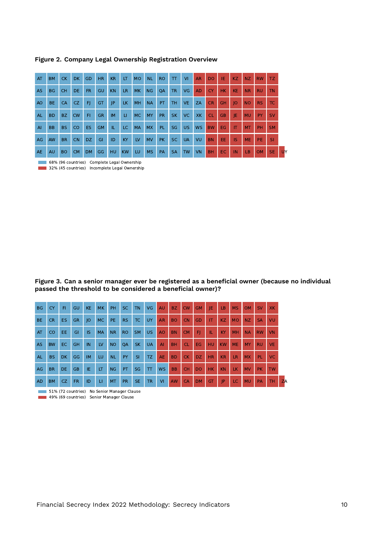| AT             | <b>BM</b> | <b>CK</b> | <b>DK</b> | GD        | HR.       | <b>KR</b> | LT        | <b>MO</b> | <b>NL</b> | <b>RO</b> | $\top$    | <b>VI</b> | <b>AR</b> | <b>DO</b> | IE        | KZ        | NZ        | <b>RW</b> | TZ.       |
|----------------|-----------|-----------|-----------|-----------|-----------|-----------|-----------|-----------|-----------|-----------|-----------|-----------|-----------|-----------|-----------|-----------|-----------|-----------|-----------|
| <b>AS</b>      | <b>BG</b> | <b>CH</b> | <b>DE</b> | FR.       | GU        | <b>KN</b> | <b>LR</b> | <b>MK</b> | <b>NG</b> | <b>OA</b> | <b>TR</b> | VG        | <b>AD</b> | <b>CY</b> | <b>HK</b> | <b>KE</b> | <b>NR</b> | <b>RU</b> | <b>TN</b> |
| AO             | BE.       | <b>CA</b> | <b>CZ</b> | F         | GT        | P         | LК.       | MH        | <b>NA</b> | PT.       | TH.       | <b>VE</b> | ZA        | <b>CR</b> | <b>GH</b> | 10        | <b>NO</b> | <b>RS</b> | <b>TC</b> |
| AL.            | <b>BD</b> | BZ.       | <b>CW</b> | FI        | <b>GR</b> | <b>IM</b> | LI.       | <b>MC</b> | MY        | <b>PR</b> | <b>SK</b> | VC.       | XK        | <b>CL</b> | <b>GB</b> | IE        | <b>MU</b> | PY.       | <b>SV</b> |
| $\overline{A}$ | <b>BB</b> | <b>BS</b> | <b>CO</b> | <b>ES</b> | <b>GM</b> | IL.       | LC.       | <b>MA</b> | <b>MX</b> | PL.       | <b>SG</b> | <b>US</b> | <b>WS</b> | <b>BW</b> | <b>EG</b> | IT.       | <b>MT</b> | PH        | <b>SM</b> |
| AG             | AW        | <b>BR</b> | <b>CN</b> | <b>DZ</b> | GI        | ID        | KY        | LV        | <b>MV</b> | <b>PK</b> | SC.       | <b>UA</b> | VU        | <b>BN</b> | EE.       | <b>IS</b> | <b>ME</b> | PE.       | <b>SI</b> |
| <b>AE</b>      | AU        | <b>BO</b> | <b>CM</b> | <b>DM</b> | GG        | <b>HU</b> | <b>KW</b> | LU        | <b>MS</b> | PA        | <b>SA</b> | <b>TW</b> | VN        | <b>BH</b> | <b>EC</b> | IN        | LB        | <b>OM</b> | <b>SE</b> |

**Figure 2. Company Legal Ownership Registration Overview**

68% (96 countries) Complete Legal Ownership 32% (45 countries) Incomplete Legal Ownership

**Figure 3. Can a senior manager ever be registered as a beneficial owner (because no individual passed the threshold to be considered a beneficial owner)?**

| <b>BG</b> | CY        | FI.       | GU        | <b>KE</b> | <b>MK</b> | <b>PH</b> | SC.       | <b>TN</b> | VG        | <b>AU</b> | BZ.       | <b>CW</b> | <b>GM</b> | IE        | <b>LB</b> | <b>MS</b> | <b>OM</b> | <b>SV</b> | <b>XK</b> |           |
|-----------|-----------|-----------|-----------|-----------|-----------|-----------|-----------|-----------|-----------|-----------|-----------|-----------|-----------|-----------|-----------|-----------|-----------|-----------|-----------|-----------|
| <b>BE</b> | <b>CR</b> | ES        | <b>GR</b> | IO        | <b>MC</b> | PE.       | RS.       | <b>TC</b> | UY        | <b>AR</b> | <b>BO</b> | <b>CN</b> | GD        | IT        | KZ.       | <b>MO</b> | NZ        | <b>SA</b> | VU        |           |
| AT        | <b>CO</b> | EE.       | GI        | IS        | <b>MA</b> | <b>NR</b> | <b>RO</b> | <b>SM</b> | <b>US</b> | <b>AO</b> | <b>BN</b> | <b>CM</b> | F         | TL.       | <b>KY</b> | MH        | <b>NA</b> | <b>RW</b> | <b>VN</b> |           |
| <b>AS</b> | <b>BW</b> | EC.       | <b>GH</b> | <b>IN</b> | LV        | NO.       | QA        | <b>SK</b> | <b>UA</b> | AI        | <b>BH</b> | <b>CL</b> | EG.       | <b>HU</b> | <b>KW</b> | <b>ME</b> | <b>MY</b> | <b>RU</b> | <b>VE</b> |           |
| <b>AL</b> | <b>BS</b> | <b>DK</b> | GG        | <b>IM</b> | LU.       | <b>NL</b> | PY        | SI        | TZ.       | <b>AE</b> | <b>BD</b> | <b>CK</b> | DZ.       | <b>HR</b> | <b>KR</b> | LR        | <b>MX</b> | PL.       | <b>VC</b> |           |
| AG        | <b>BR</b> | <b>DE</b> | <b>GB</b> | IE.       | <b>IT</b> | NG        | PT        | SG        | T         | <b>WS</b> | <b>BB</b> | <b>CH</b> | <b>DO</b> | <b>HK</b> | <b>KN</b> | <b>LK</b> | <b>MV</b> | PK.       | <b>TW</b> |           |
| <b>AD</b> | <b>BM</b> | CZ.       | <b>FR</b> | ID        | u         | MT.       | <b>PR</b> | <b>SE</b> | <b>TR</b> | <b>VI</b> | AW.       | <b>CA</b> | <b>DM</b> | <b>GT</b> | IP        | LC.       | <b>MU</b> | <b>PA</b> | TH.       | <b>ZA</b> |

**51% (72 countries)** No Senior Manager Clause

49% (69 countries) Senior Manager Clause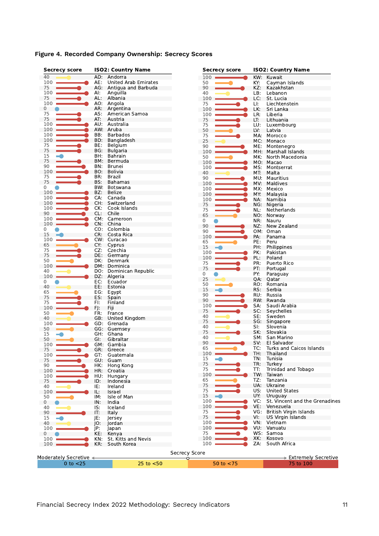| <b>Secrecy score</b>   |     | <b>ISO2: Country Name</b> | <b>Secrecy score</b> |     | <b>ISO2: Country Name</b>      |
|------------------------|-----|---------------------------|----------------------|-----|--------------------------------|
| 40                     | AD: | Andorra                   | 100                  | KW: | Kuwait                         |
| 100                    | AE: | United Arab Emirates      | 50                   | KY: | Cayman Islands                 |
| 75                     | AG: | Antigua and Barbuda       | 90                   | KZ: | Kazakhstan                     |
| 100                    | Al: | Anguilla                  | 40                   | LB: | Lebanon                        |
| 75                     | AL: | Albania                   | 100                  | LC: | St. Lucia                      |
| 100                    | AO: | Angola                    | 75                   | LI: | Liechtenstein                  |
| 0                      |     | AR: Argentina             | 100                  | LK: | Sri Lanka                      |
| 75                     | AS: | American Samoa            | 100                  | LR: | Liberia                        |
| 75                     | AT: | Austria                   | 75                   | LT: | Lithuania                      |
| 100                    | AU: | Australia                 | 75                   | LU: | Luxembourg                     |
| 100                    | AW: | Aruba                     | 50                   | LV: | Latvia                         |
| 100                    | BB: | <b>Barbados</b>           | 75                   |     | MA: Morocco                    |
| 100                    | BD: | Bangladesh                | 25                   | MC: | Monaco                         |
| 75                     | BE: | Belgium                   | 90                   | ME: | Montenegro                     |
| 75                     | BG: | Bulgaria                  | 100                  | MH: | Marshall Islands               |
| 15<br>-9               | BH: | Bahrain                   | 50                   | MK: | North Macedonia                |
| 75                     | BM: | Bermuda                   | 100                  |     | MO: Macao                      |
| 90                     | BN: | Brunei                    | 100                  | MS: | Montserrat                     |
| 100                    | BO: | <b>Bolivia</b>            | 40                   | MT: | Malta                          |
| 75                     | BR: | <b>Brazil</b>             | 90                   | MU: | Mauritius                      |
| 75                     | BS: | <b>Bahamas</b>            | 100                  | MV. | Maldives                       |
| 0                      | BW: | Botswana                  | 100                  | MX: | Mexico                         |
| 100                    | BZ: | <b>Belize</b>             | 100                  | MY: | Malaysia                       |
| 100                    | CA: | Canada                    | 100                  | NA: | Namibia                        |
| 100                    | CH: | Switzerland               | 75                   | NG: | Nigeria                        |
| 100                    | CK: | Cook Islands              | 75                   | NL: | Netherlands                    |
| 90                     | CL: | Chile                     | 65                   |     | NO: Norway                     |
| 100                    |     | CM: Cameroon              | 0                    | NR: | Nauru                          |
| 100                    | CN: | China                     |                      |     |                                |
| 0                      | CO: | Colombia                  | 90                   | NZ: | New Zealand                    |
| 15                     | CR: | Costa Rica                | 90                   |     | OM: Oman                       |
| 100                    |     | CW: Curacao               | 100                  | PA: | Panama                         |
| 65                     | CY: | Cyprus                    | 65                   | PE: | Peru                           |
| 75                     | CZ: | Czechia                   | 15                   | PH: | Philippines                    |
| 75                     | DE: | Germany                   | 100                  | PK: | Pakistan                       |
| 50                     | DK: | Denmark                   | 100                  | PL: | Poland                         |
| 100                    | DM: | Dominica                  | 75                   | PR: | Puerto Rico                    |
| 40                     | DO: | Dominican Republic        | 75                   | PT: | Portugal                       |
| 100                    | DZ: | Algeria                   | 0                    | PY: | Paraguay                       |
| 0                      | EC: | Ecuador                   | 25                   | QA: | Qatar                          |
| 40                     | EE: | Estonia                   | 50                   | RO. | Romania                        |
| 65                     | EG: |                           | 15                   | RS: | Serbia                         |
|                        |     | Egypt<br>Spain            | 90                   | RU: | Russia                         |
| 75                     | ES: |                           | 90                   | RW: | Rwanda                         |
| 75                     | FI: | Finland                   | 100                  | SA. | Saudi Arabia                   |
| 100                    | FJ: | Fiji                      | 75                   | SC: | Seychelles                     |
| 50                     | FR: | France                    | 40                   | SE: | Sweden                         |
| 40                     |     | GB: United Kingdom        | 75                   | SG: | Singapore                      |
| 100                    | GD: | Grenada                   | 40                   | SI: | Slovenia                       |
| 50                     |     | GG: Guernsey              | 75                   | SK: | Slovakia                       |
| 15                     | GH. | Ghana                     | 40                   | SM: | San Marino                     |
| 50                     | GI. | Gibraltar                 | 90                   | SV: | El Salvador                    |
| 100                    |     | GM: Gambia                | 65                   | TC: | Turks and Caicos Islands       |
| 75                     | GR: | Greece                    | 100                  | TH: | Thailand                       |
| 100                    | GT: | Guatemala                 |                      |     |                                |
| 75                     |     | GU: Guam                  | 15<br>75             | TN: | Tunisia                        |
| 90                     | HK: | Hong Kong                 |                      | TR: | Turkey                         |
| 100                    | HR: | Croatia                   | 75                   | TT: | Trinidad and Tobago            |
| 100                    | HU: | Hungary                   | 100                  |     | TW: Taiwan                     |
| 75                     | ID: | Indonesia                 | 65                   | TZ: | Tanzania                       |
| 40                     | IE: | Ireland                   | 75                   |     | UA: Ukraine                    |
| 100                    | IL: | Israel                    | 75                   | US: | <b>United States</b>           |
| 50                     | IM: | Isle of Man               | 15                   | UY: | Uruguay                        |
| 0                      | IN: | India                     | 100                  | VC: | St. Vincent and the Grenadines |
| 40                     | IS: | Iceland                   | 100                  | VE: | Venezuela                      |
| 90                     | IT: | Italy                     | 75                   | VG: | British Virgin Islands         |
| 15                     | JE: | Jersey                    | 75                   | VI: | US Virgin Islands              |
| 40                     | JO: | Jordan                    | 100                  |     | VN: Vietnam                    |
| 100                    | jp: | Japan                     | 100                  |     | VU: Vanuatu                    |
| 0                      | KE: | Kenya                     | 75                   |     | WS: Samoa                      |
| 100                    | KN: | St. Kitts and Nevis       | 100                  | XK: | Kosovo                         |
| 100                    | KR: | South Korea               | 100                  | ZA: | South Africa                   |
|                        |     |                           |                      |     |                                |
|                        |     |                           | Secrecy Score        |     |                                |
| Moderately Secretive < |     |                           | Ō                    |     | > Extremely Secretive          |
| $0$ to $<$ 25          |     | $25$ to $< 50$            | 50 to $<$ 75         |     | 75 to 100                      |

# **Figure 4. Recorded Company Ownership: Secrecy Scores**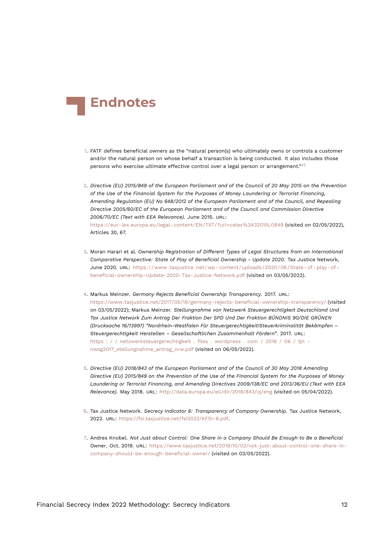<span id="page-11-10"></span>

- <span id="page-11-8"></span><span id="page-11-0"></span>[1.](#page-0-0) FATF defines beneficial owners as the "natural person(s) who ultimately owns or controls a customer and/or the natural person on whose behalf a transaction is being conducted. It also includes those persons who exercise ultimate effective control over a legal person or arrangement."[33](#page-14-0)
- <span id="page-11-1"></span>[2.](#page-0-1) *Directive (EU) 2015/849 of the European Parliament and of the Council of 20 May 2015 on the Prevention of the Use of the Financial System for the Purposes of Money Laundering or Terrorist Financing, Amending Regulation (EU) No 648/2012 of the European Parliament and of the Council, and Repealing Directive 2005/60/EC of the European Parliament and of the Council and Commission Directive 2006/70/EC (Text with EEA Relevance)*. June 2015. URL: <https://eur-lex.europa.eu/legal-content/EN/TXT/?uri=celex%3A32015L0849> (visited on 02/05/2022), Articles 30, 67.
- <span id="page-11-9"></span><span id="page-11-2"></span>[3.](#page-0-2) Moran Harari et al. *Ownership Registration of Different Types of Legal Structures from an International Comparative Perspective: State of Play of Beneficial Ownership - Update 2020*. Tax Justice Network, June 2020. URL: [https://www.taxjustice.net/wp- content/uploads/2020/06/State- of- play- of](https://www.taxjustice.net/wp-content/uploads/2020/06/State-of-play-of-beneficial-ownership-Update-2020-Tax-Justice-Network.pdf)[beneficial-ownership-Update-2020-Tax-Justice-Network.pdf](https://www.taxjustice.net/wp-content/uploads/2020/06/State-of-play-of-beneficial-ownership-Update-2020-Tax-Justice-Network.pdf) (visited on 03/05/2022).
- <span id="page-11-3"></span>[4.](#page-0-3) Markus Meinzer. *Germany Rejects Beneficial Ownership Transparency*. 2017. URL: <https://www.taxjustice.net/2017/05/18/germany-rejects-beneficial-ownership-transparency/> (visited on 03/05/2022); Markus Meinzer. *Stellungnahme von Netzwerk Steuergerechtigkeit Deutschland Und Tax Justice Network Zum Antrag Der Fraktion Der SPD Und Der Fraktion BÜNDNIS 90/DIE GRÜNEN (Drucksache 16/13997) "Nordrhein-Westfalen Für Steuergerechtigkeit!Steuerkriminalität Bekämpfen – Steuergerechtigkeit Herstellen – Gesellschaftlichen Zusammenhalt Fördern"*. 2017. URL: [https : / / netzwerksteuergerechtigkeit . files . wordpress . com / 2016 / 06 / tjn](https://netzwerksteuergerechtigkeit.files.wordpress.com/2016/06/tjn-nwsg2017_stellungnahme_antrag_nrw.pdf)  nwsg2017 stellungnahme antrag nrw.pdf (visited on 06/05/2022).
- <span id="page-11-4"></span>[5.](#page-0-4) *Directive (EU) 2018/843 of the European Parliament and of the Council of 30 May 2018 Amending Directive (EU) 2015/849 on the Prevention of the Use of the Financial System for the Purposes of Money Laundering or Terrorist Financing, and Amending Directives 2009/138/EC and 2013/36/EU (Text with EEA Relevance)*. May 2018. URL: <http://data.europa.eu/eli/dir/2018/843/oj/eng> (visited on 05/04/2022).
- <span id="page-11-7"></span><span id="page-11-5"></span>[6.](#page-0-5) Tax Justice Network. *Secrecy Indicator 6: Transparency of Company Ownership*. Tax Justice Network, 2022. URL: <https://fsi.taxjustice.net/fsi2022/KFSI-6.pdf>.
- <span id="page-11-6"></span>[7.](#page-2-0) Andres Knobel. *Not Just about Control: One Share in a Company Should Be Enough to Be a Beneficial Owner*. Oct. 2019. URL: [https://www.taxjustice.net/2019/10/02/not-just-about-control-one-share-in](https://www.taxjustice.net/2019/10/02/not-just-about-control-one-share-in-company-should-be-enough-beneficial-owner/)[company-should-be-enough-beneficial-owner/](https://www.taxjustice.net/2019/10/02/not-just-about-control-one-share-in-company-should-be-enough-beneficial-owner/) (visited on 03/05/2022).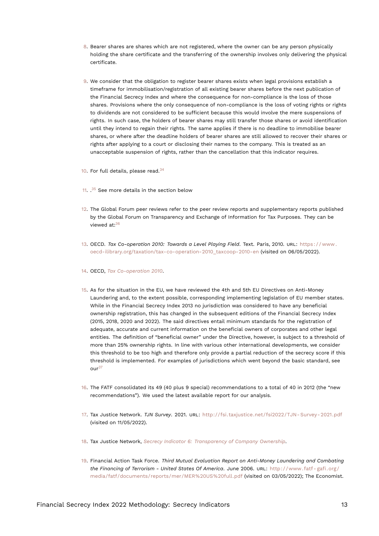- <span id="page-12-17"></span><span id="page-12-0"></span>[8.](#page-2-1) Bearer shares are shares which are not registered, where the owner can be any person physically holding the share certificate and the transferring of the ownership involves only delivering the physical certificate.
- <span id="page-12-1"></span>[9.](#page-2-2) We consider that the obligation to register bearer shares exists when legal provisions establish a timeframe for immobilisation/registration of all existing bearer shares before the next publication of the Financial Secrecy Index and where the consequence for non-compliance is the loss of those shares. Provisions where the only consequence of non-compliance is the loss of voting rights or rights to dividends are not considered to be sufficient because this would involve the mere suspensions of rights. In such case, the holders of bearer shares may still transfer those shares or avoid identification until they intend to regain their rights. The same applies if there is no deadline to immobilise bearer shares, or where after the deadline holders of bearer shares are still allowed to recover their shares or rights after applying to a court or disclosing their names to the company. This is treated as an unacceptable suspension of rights, rather than the cancellation that this indicator requires.
- <span id="page-12-13"></span><span id="page-12-2"></span>[10.](#page-3-0) For full details, please read.<sup>[34](#page-14-1)</sup>
- <span id="page-12-14"></span><span id="page-12-3"></span>[11.](#page-3-1) <sup>[35](#page-14-2)</sup> See more details in the section below
- <span id="page-12-15"></span><span id="page-12-4"></span>[12.](#page-3-2) The Global Forum peer reviews refer to the peer review reports and supplementary reports published by the Global Forum on Transparency and Exchange of Information for Tax Purposes. They can be viewed at:[36](#page-14-3)
- <span id="page-12-12"></span><span id="page-12-5"></span>[13.](#page-3-3) OECD. *Tax Co-operation 2010: Towards a Level Playing Field*. Text. Paris, 2010. URL: [https : / / www .](https://www.oecd-ilibrary.org/taxation/tax-co-operation-2010_taxcoop-2010-en) [oecd-ilibrary.org/taxation/tax-co-operation-2010\\_taxcoop-2010-en](https://www.oecd-ilibrary.org/taxation/tax-co-operation-2010_taxcoop-2010-en) (visited on 06/05/2022).
- <span id="page-12-6"></span>[14.](#page-3-4) OECD, *[Tax Co-operation 2010](#page-12-12)*.
- <span id="page-12-7"></span>[15.](#page-3-5) As for the situation in the EU, we have reviewed the 4th and 5th EU Directives on Anti-Money Laundering and, to the extent possible, corresponding implementing legislation of EU member states. While in the Financial Secrecy Index 2013 no jurisdiction was considered to have any beneficial ownership registration, this has changed in the subsequent editions of the Financial Secrecy Index (2015, 2018, 2020 and 2022). The said directives entail minimum standards for the registration of adequate, accurate and current information on the beneficial owners of corporates and other legal entities. The definition of "beneficial owner" under the Directive, however, is subject to a threshold of more than 25% ownership rights. In line with various other international developments, we consider this threshold to be too high and therefore only provide a partial reduction of the secrecy score if this threshold is implemented. For examples of jurisdictions which went beyond the basic standard, see our<sup>[37](#page-14-4)</sup>
- <span id="page-12-16"></span><span id="page-12-8"></span>[16.](#page-3-6) The FATF consolidated its 49 (40 plus 9 special) recommendations to a total of 40 in 2012 (the "new recommendations"). We used the latest available report for our analysis.
- <span id="page-12-9"></span>[17.](#page-3-7) Tax Justice Network. *TJN Survey*. 2021. URL: [http://fsi.taxjustice.net/fsi2022/TJN- Survey- 2021.pdf](http://fsi.taxjustice.net/fsi2022/TJN-Survey-2021.pdf) (visited on 11/05/2022).
- <span id="page-12-10"></span>[18.](#page-4-0) Tax Justice Network, *[Secrecy Indicator 6: Transparency of Company Ownership](#page-11-7)*.
- <span id="page-12-11"></span>[19.](#page-4-1) Financial Action Task Force. *Third Mutual Evaluation Report on Anti-Money Laundering and Combating the Financing of Terrorism - United States Of America*. June 2006. URL: [http://www.fatf- gafi.org/](http://www.fatf-gafi.org/media/fatf/documents/reports/mer/MER%20US%20full.pdf) [media/fatf/documents/reports/mer/MER%20US%20full.pdf](http://www.fatf-gafi.org/media/fatf/documents/reports/mer/MER%20US%20full.pdf) (visited on 03/05/2022); The Economist.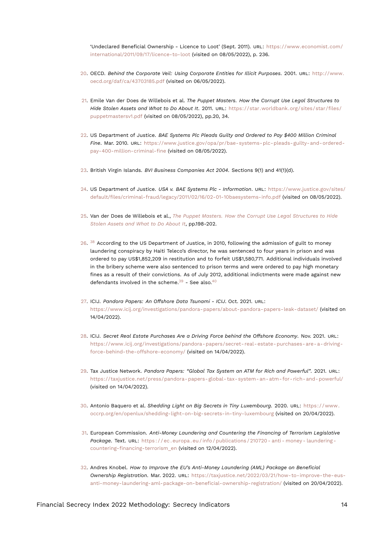<span id="page-13-17"></span>'Undeclared Beneficial Ownership - Licence to Loot' (Sept. 2011). URL: [https://www.economist.com/](https://www.economist.com/international/2011/09/17/licence-to-loot) [international/2011/09/17/licence-to-loot](https://www.economist.com/international/2011/09/17/licence-to-loot) (visited on 08/05/2022), p. 236.

- <span id="page-13-0"></span>[20.](#page-4-2) OECD. *Behind the Corporate Veil: Using Corporate Entities for Illicit Purposes*. 2001. URL: [http://www.](http://www.oecd.org/daf/ca/43703185.pdf) [oecd.org/daf/ca/43703185.pdf](http://www.oecd.org/daf/ca/43703185.pdf) (visited on 06/05/2022).
- <span id="page-13-13"></span><span id="page-13-1"></span>[21.](#page-4-3) Emile Van der Does de Willebois et al. *The Puppet Masters. How the Corrupt Use Legal Structures to Hide Stolen Assets and What to Do About It*. 2011. URL: [https://star.worldbank.org/sites/star/files/](https://star.worldbank.org/sites/star/files/puppetmastersv1.pdf) [puppetmastersv1.pdf](https://star.worldbank.org/sites/star/files/puppetmastersv1.pdf) (visited on 08/05/2022), pp.20, 34.
- <span id="page-13-2"></span>[22.](#page-4-4) US Department of Justice. *BAE Systems Plc Pleads Guilty and Ordered to Pay \$400 Million Criminal Fine*. Mar. 2010. URL: [https://www.justice.gov/opa/pr/bae-systems-plc-pleads-guilty-and-ordered](https://www.justice.gov/opa/pr/bae-systems-plc-pleads-guilty-and-ordered-pay-400-million-criminal-fine)[pay-400-million-criminal-fine](https://www.justice.gov/opa/pr/bae-systems-plc-pleads-guilty-and-ordered-pay-400-million-criminal-fine) (visited on 08/05/2022).
- <span id="page-13-3"></span>[23.](#page-4-5) British Virgin Islands. *BVI Business Companies Act 2004*. Sections 9(1) and 41(1)(d).
- <span id="page-13-4"></span>[24.](#page-5-0) US Department of Justice. *USA v. BAE Systems Plc - Information*. URL: [https://www.justice.gov/sites/](https://www.justice.gov/sites/default/files/criminal-fraud/legacy/2011/02/16/02-01-10baesystems-info.pdf) [default/files/criminal-fraud/legacy/2011/02/16/02-01-10baesystems-info.pdf](https://www.justice.gov/sites/default/files/criminal-fraud/legacy/2011/02/16/02-01-10baesystems-info.pdf) (visited on 08/05/2022).
- <span id="page-13-5"></span>[25.](#page-5-1) Van der Does de Willebois et al., *[The Puppet Masters. How the Corrupt Use Legal Structures to Hide](#page-13-13) [Stolen Assets and What to Do About It](#page-13-13)*, pp.198-202.
- <span id="page-13-14"></span><span id="page-13-6"></span> $26.$   $^{38}$  $^{38}$  $^{38}$  According to the US Department of Justice, in 2010, following the admission of guilt to money laundering conspiracy by Haiti Teleco's director, he was sentenced to four years in prison and was ordered to pay US\$1,852,209 in restitution and to forfeit US\$1,580,771. Additional individuals involved in the bribery scheme were also sentenced to prison terms and were ordered to pay high monetary fines as a result of their convictions. As of July 2012, additional indictments were made against new defendants involved in the scheme. $39$  - See also. $40$
- <span id="page-13-16"></span><span id="page-13-15"></span><span id="page-13-7"></span>[27.](#page-6-0) ICIJ. *Pandora Papers: An Offshore Data Tsunami - ICIJ*. Oct. 2021. URL: <https://www.icij.org/investigations/pandora-papers/about-pandora-papers-leak-dataset/> (visited on 14/04/2022).
- <span id="page-13-8"></span>[28.](#page-6-1) ICIJ. *Secret Real Estate Purchases Are a Driving Force behind the Offshore Economy*. Nov. 2021. URL: [https://www.icij.org/investigations/pandora-papers/secret-real-estate-purchases-are-a-driving](https://www.icij.org/investigations/pandora-papers/secret-real-estate-purchases-are-a-driving-force-behind-the-offshore-economy/)[force-behind-the-offshore-economy/](https://www.icij.org/investigations/pandora-papers/secret-real-estate-purchases-are-a-driving-force-behind-the-offshore-economy/) (visited on 14/04/2022).
- <span id="page-13-9"></span>[29.](#page-6-2) Tax Justice Network. *Pandora Papers: "Global Tax System an ATM for Rich and Powerful"*. 2021. URL: <https://taxjustice.net/press/pandora-papers-global-tax-system-an-atm-for-rich-and-powerful/> (visited on 14/04/2022).
- <span id="page-13-10"></span>[30.](#page-6-3) Antonio Baquero et al. *Shedding Light on Big Secrets in Tiny Luxembourg*. 2020. URL: [https://www.](https://www.occrp.org/en/openlux/shedding-light-on-big-secrets-in-tiny-luxembourg) [occrp.org/en/openlux/shedding-light-on-big-secrets-in-tiny-luxembourg](https://www.occrp.org/en/openlux/shedding-light-on-big-secrets-in-tiny-luxembourg) (visited on 20/04/2022).
- <span id="page-13-11"></span>[31.](#page-6-4) European Commission. *Anti-Money Laundering and Countering the Financing of Terrorism Legislative Package*. Text. URL: [https : / / ec . europa . eu / info / publications / 210720 - anti - money - laundering](https://ec.europa.eu/info/publications/210720-anti-money-laundering-countering-financing-terrorism_en)  [countering-financing-terrorism\\_en](https://ec.europa.eu/info/publications/210720-anti-money-laundering-countering-financing-terrorism_en) (visited on 12/04/2022).
- <span id="page-13-12"></span>[32.](#page-6-5) Andres Knobel. *How to Improve the EU's Anti-Money Laundering (AML) Package on Beneficial Ownership Registration*. Mar. 2022. URL: [https://taxjustice.net/2022/03/21/how-to-improve-the-eus](https://taxjustice.net/2022/03/21/how-to-improve-the-eus-anti-money-laundering-aml-package-on-beneficial-ownership-registration/)[anti-money-laundering-aml-package-on-beneficial-ownership-registration/](https://taxjustice.net/2022/03/21/how-to-improve-the-eus-anti-money-laundering-aml-package-on-beneficial-ownership-registration/) (visited on 20/04/2022).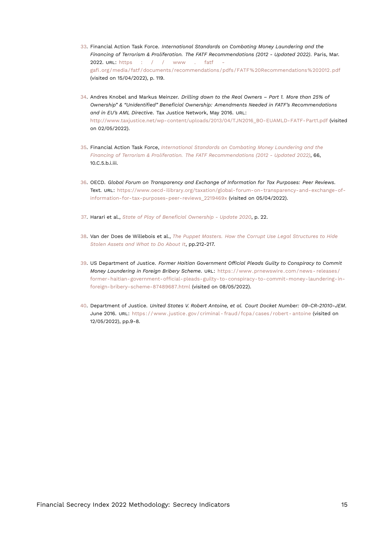- <span id="page-14-9"></span><span id="page-14-8"></span><span id="page-14-0"></span>[33.](#page-11-8) Financial Action Task Force. *International Standards on Combating Money Laundering and the Financing of Terrorism & Proliferation. The FATF Recommendations (2012 - Updated 2022)*. Paris, Mar. 2022. URL: [https : / / www . fatf](https://www.fatf-gafi.org/media/fatf/documents/recommendations/pdfs/FATF%20Recommendations%202012.pdf)  [gafi.org/media/fatf/documents/recommendations/pdfs/FATF%20Recommendations%202012.pdf](https://www.fatf-gafi.org/media/fatf/documents/recommendations/pdfs/FATF%20Recommendations%202012.pdf) (visited on 15/04/2022), p. 119.
- <span id="page-14-1"></span>[34.](#page-12-13) Andres Knobel and Markus Meinzer. *Drilling down to the Real Owners – Part 1. More than 25% of Ownership" & "Unidentified" Beneficial Ownership: Amendments Needed in FATF's Recommendations and in EU's AML Directive*. Tax Justice Network, May 2016. URL: [http://www.taxjustice.net/wp-content/uploads/2013/04/TJN2016\\_BO-EUAMLD-FATF-Part1.pdf](http://www.taxjustice.net/wp-content/uploads/2013/04/TJN2016_BO-EUAMLD-FATF-Part1.pdf) (visited on 02/05/2022).
- <span id="page-14-2"></span>[35.](#page-12-14) Financial Action Task Force, *[International Standards on Combating Money Laundering and the](#page-14-8) [Financing of Terrorism & Proliferation. The FATF Recommendations \(2012 - Updated 2022\)](#page-14-8)*, 66, 10.C.5.b.i.iii.
- <span id="page-14-3"></span>[36.](#page-12-15) OECD. *Global Forum on Transparency and Exchange of Information for Tax Purposes: Peer Reviews*. Text. URL: [https://www.oecd-ilibrary.org/taxation/global-forum-on-transparency-and-exchange-of](https://www.oecd-ilibrary.org/taxation/global-forum-on-transparency-and-exchange-of-information-for-tax-purposes-peer-reviews_2219469x)[information-for-tax-purposes-peer-reviews\\_2219469x](https://www.oecd-ilibrary.org/taxation/global-forum-on-transparency-and-exchange-of-information-for-tax-purposes-peer-reviews_2219469x) (visited on 05/04/2022).
- <span id="page-14-4"></span>[37.](#page-12-16) Harari et al., *[State of Play of Beneficial Ownership - Update 2020](#page-11-9)*, p. 22.
- <span id="page-14-5"></span>[38.](#page-13-14) Van der Does de Willebois et al., *[The Puppet Masters. How the Corrupt Use Legal Structures to Hide](#page-13-13) [Stolen Assets and What to Do About It](#page-13-13)*, pp.212-217.
- <span id="page-14-6"></span>[39.](#page-13-15) US Department of Justice. *Former Haitian Government Official Pleads Guilty to Conspiracy to Commit Money Laundering in Foreign Bribery Scheme*. URL: [https://www.prnewswire.com/news- releases/](https://www.prnewswire.com/news-releases/former-haitian-government-official-pleads-guilty-to-conspiracy-to-commit-money-laundering-in-foreign-bribery-scheme-87489687.html) [former-haitian-government-official-pleads-guilty-to-conspiracy-to-commit-money-laundering-in](https://www.prnewswire.com/news-releases/former-haitian-government-official-pleads-guilty-to-conspiracy-to-commit-money-laundering-in-foreign-bribery-scheme-87489687.html)[foreign-bribery-scheme-87489687.html](https://www.prnewswire.com/news-releases/former-haitian-government-official-pleads-guilty-to-conspiracy-to-commit-money-laundering-in-foreign-bribery-scheme-87489687.html) (visited on 08/05/2022).
- <span id="page-14-7"></span>[40.](#page-13-16) Department of Justice. *United States V. Robert Antoine, et al. Court Docket Number: 09-CR-21010-JEM*. June 2016. URL: https://www.justice.gov/criminal-fraud/fcpa/cases/robert-antoine (visited on 12/05/2022), pp.9-8.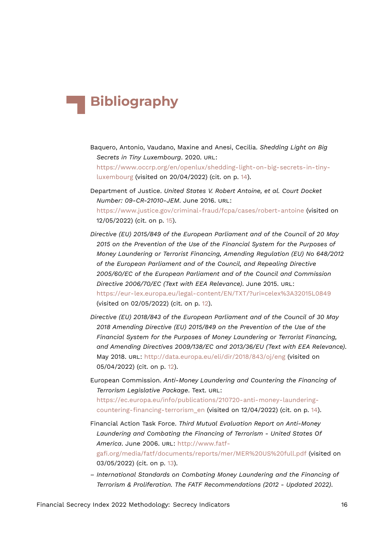# **Bibliography**

- Baquero, Antonio, Vaudano, Maxine and Anesi, Cecilia. *Shedding Light on Big Secrets in Tiny Luxembourg*. 2020. URL: [https://www.occrp.org/en/openlux/shedding-light-on-big-secrets-in-tiny](https://www.occrp.org/en/openlux/shedding-light-on-big-secrets-in-tiny-luxembourg)[luxembourg](https://www.occrp.org/en/openlux/shedding-light-on-big-secrets-in-tiny-luxembourg) (visited on 20/04/2022) (cit. on p. [14\)](#page-13-17).
- Department of Justice. *United States V. Robert Antoine, et al. Court Docket Number: 09-CR-21010-JEM*. June 2016. URL: <https://www.justice.gov/criminal-fraud/fcpa/cases/robert-antoine> (visited on 12/05/2022) (cit. on p. [15](#page-14-9)).
- *Directive (EU) 2015/849 of the European Parliament and of the Council of 20 May 2015 on the Prevention of the Use of the Financial System for the Purposes of Money Laundering or Terrorist Financing, Amending Regulation (EU) No 648/2012 of the European Parliament and of the Council, and Repealing Directive 2005/60/EC of the European Parliament and of the Council and Commission Directive 2006/70/EC (Text with EEA Relevance)*. June 2015. URL: <https://eur-lex.europa.eu/legal-content/EN/TXT/?uri=celex%3A32015L0849> (visited on 02/05/2022) (cit. on p. [12](#page-11-10)).
- *Directive (EU) 2018/843 of the European Parliament and of the Council of 30 May 2018 Amending Directive (EU) 2015/849 on the Prevention of the Use of the Financial System for the Purposes of Money Laundering or Terrorist Financing, and Amending Directives 2009/138/EC and 2013/36/EU (Text with EEA Relevance)*. May 2018. URL: <http://data.europa.eu/eli/dir/2018/843/oj/eng> (visited on 05/04/2022) (cit. on p. [12\)](#page-11-10).
- European Commission. *Anti-Money Laundering and Countering the Financing of Terrorism Legislative Package*. Text. URL: [https://ec.europa.eu/info/publications/210720-anti-money-laundering](https://ec.europa.eu/info/publications/210720-anti-money-laundering-countering-financing-terrorism_en)[countering-financing-terrorism\\_en](https://ec.europa.eu/info/publications/210720-anti-money-laundering-countering-financing-terrorism_en) (visited on 12/04/2022) (cit. on p. [14](#page-13-17)).
- Financial Action Task Force. *Third Mutual Evaluation Report on Anti-Money Laundering and Combating the Financing of Terrorism - United States Of America*. June 2006. URL: [http://www.fatf](http://www.fatf-gafi.org/media/fatf/documents/reports/mer/MER%20US%20full.pdf)[gafi.org/media/fatf/documents/reports/mer/MER%20US%20full.pdf](http://www.fatf-gafi.org/media/fatf/documents/reports/mer/MER%20US%20full.pdf) (visited on 03/05/2022) (cit. on p. [13](#page-12-17)).
- *International Standards on Combating Money Laundering and the Financing of Terrorism & Proliferation. The FATF Recommendations (2012 - Updated 2022)*.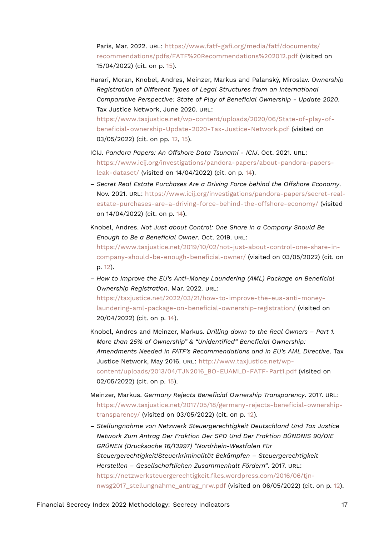Paris, Mar. 2022. URL: [https://www.fatf-gafi.org/media/fatf/documents/](https://www.fatf-gafi.org/media/fatf/documents/recommendations/pdfs/FATF%20Recommendations%202012.pdf) [recommendations/pdfs/FATF%20Recommendations%202012.pdf](https://www.fatf-gafi.org/media/fatf/documents/recommendations/pdfs/FATF%20Recommendations%202012.pdf) (visited on 15/04/2022) (cit. on p. [15](#page-14-9)).

- Harari, Moran, Knobel, Andres, Meinzer, Markus and Palanský, Miroslav. *Ownership Registration of Different Types of Legal Structures from an International Comparative Perspective: State of Play of Beneficial Ownership - Update 2020*. Tax Justice Network, June 2020. URL: [https://www.taxjustice.net/wp-content/uploads/2020/06/State-of-play-of](https://www.taxjustice.net/wp-content/uploads/2020/06/State-of-play-of-beneficial-ownership-Update-2020-Tax-Justice-Network.pdf)[beneficial-ownership-Update-2020-Tax-Justice-Network.pdf](https://www.taxjustice.net/wp-content/uploads/2020/06/State-of-play-of-beneficial-ownership-Update-2020-Tax-Justice-Network.pdf) (visited on 03/05/2022) (cit. on pp. [12](#page-11-10), [15](#page-14-9)).
- ICIJ. *Pandora Papers: An Offshore Data Tsunami ICIJ*. Oct. 2021. URL: [https://www.icij.org/investigations/pandora-papers/about-pandora-papers](https://www.icij.org/investigations/pandora-papers/about-pandora-papers-leak-dataset/)[leak-dataset/](https://www.icij.org/investigations/pandora-papers/about-pandora-papers-leak-dataset/) (visited on 14/04/2022) (cit. on p. [14](#page-13-17)).
- *Secret Real Estate Purchases Are a Driving Force behind the Offshore Economy*. Nov. 2021. URL: [https://www.icij.org/investigations/pandora-papers/secret-real](https://www.icij.org/investigations/pandora-papers/secret-real-estate-purchases-are-a-driving-force-behind-the-offshore-economy/)[estate-purchases-are-a-driving-force-behind-the-offshore-economy/](https://www.icij.org/investigations/pandora-papers/secret-real-estate-purchases-are-a-driving-force-behind-the-offshore-economy/) (visited on 14/04/2022) (cit. on p. [14](#page-13-17)).
- Knobel, Andres. *Not Just about Control: One Share in a Company Should Be Enough to Be a Beneficial Owner*. Oct. 2019. URL: [https://www.taxjustice.net/2019/10/02/not-just-about-control-one-share-in](https://www.taxjustice.net/2019/10/02/not-just-about-control-one-share-in-company-should-be-enough-beneficial-owner/)[company-should-be-enough-beneficial-owner/](https://www.taxjustice.net/2019/10/02/not-just-about-control-one-share-in-company-should-be-enough-beneficial-owner/) (visited on 03/05/2022) (cit. on p. [12](#page-11-10)).
- *How to Improve the EU's Anti-Money Laundering (AML) Package on Beneficial Ownership Registration*. Mar. 2022. URL: [https://taxjustice.net/2022/03/21/how-to-improve-the-eus-anti-money](https://taxjustice.net/2022/03/21/how-to-improve-the-eus-anti-money-laundering-aml-package-on-beneficial-ownership-registration/)[laundering-aml-package-on-beneficial-ownership-registration/](https://taxjustice.net/2022/03/21/how-to-improve-the-eus-anti-money-laundering-aml-package-on-beneficial-ownership-registration/) (visited on 20/04/2022) (cit. on p. [14\)](#page-13-17).
- Knobel, Andres and Meinzer, Markus. *Drilling down to the Real Owners Part 1. More than 25% of Ownership" & "Unidentified" Beneficial Ownership: Amendments Needed in FATF's Recommendations and in EU's AML Directive*. Tax Justice Network, May 2016. URL: [http://www.taxjustice.net/wp](http://www.taxjustice.net/wp-content/uploads/2013/04/TJN2016_BO-EUAMLD-FATF-Part1.pdf)[content/uploads/2013/04/TJN2016\\_BO-EUAMLD-FATF-Part1.pdf](http://www.taxjustice.net/wp-content/uploads/2013/04/TJN2016_BO-EUAMLD-FATF-Part1.pdf) (visited on 02/05/2022) (cit. on p. [15](#page-14-9)).
- Meinzer, Markus. *Germany Rejects Beneficial Ownership Transparency*. 2017. URL: [https://www.taxjustice.net/2017/05/18/germany-rejects-beneficial-ownership](https://www.taxjustice.net/2017/05/18/germany-rejects-beneficial-ownership-transparency/)[transparency/](https://www.taxjustice.net/2017/05/18/germany-rejects-beneficial-ownership-transparency/) (visited on 03/05/2022) (cit. on p. [12\)](#page-11-10).
- *Stellungnahme von Netzwerk Steuergerechtigkeit Deutschland Und Tax Justice Network Zum Antrag Der Fraktion Der SPD Und Der Fraktion BÜNDNIS 90/DIE GRÜNEN (Drucksache 16/13997) "Nordrhein-Westfalen Für Steuergerechtigkeit!Steuerkriminalität Bekämpfen – Steuergerechtigkeit Herstellen – Gesellschaftlichen Zusammenhalt Fördern"*. 2017. URL: [https://netzwerksteuergerechtigkeit.files.wordpress.com/2016/06/tjn-](https://netzwerksteuergerechtigkeit.files.wordpress.com/2016/06/tjn-nwsg2017_stellungnahme_antrag_nrw.pdf)nwsg2017 stellungnahme antrag nrw.pdf (visited on 06/05/2022) (cit. on p. [12](#page-11-10)).